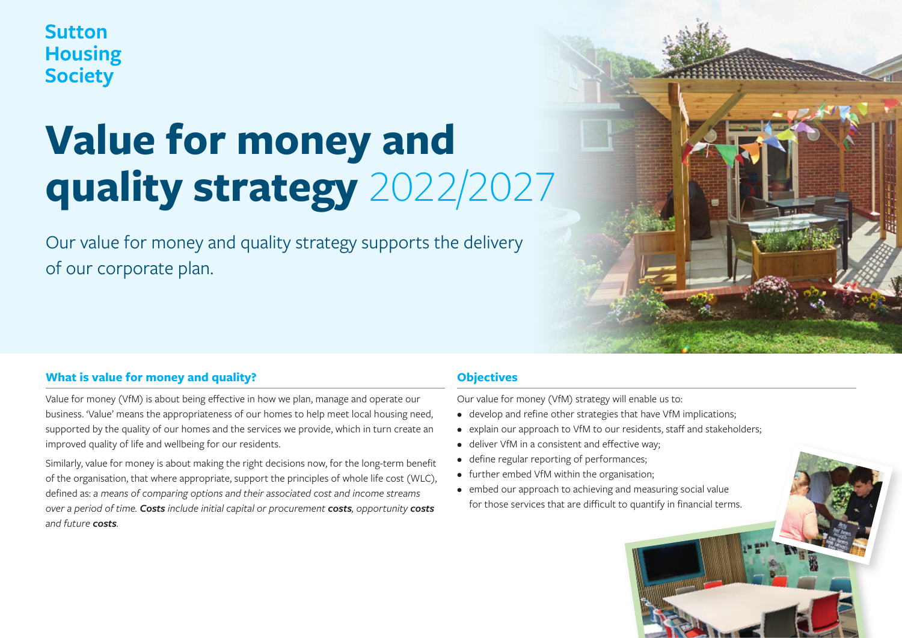**Sutton Housing Society** 

# **Value for money and quality strategy** 2022/2027

Our value for money and quality strategy supports the delivery of our corporate plan.

# **What is value for money and quality?**

Value for money (VfM) is about being effective in how we plan, manage and operate our business. 'Value' means the appropriateness of our homes to help meet local housing need, supported by the quality of our homes and the services we provide, which in turn create an improved quality of life and wellbeing for our residents.

Similarly, value for money is about making the right decisions now, for the long-term benefit of the organisation, that where appropriate, support the principles of whole life cost (WLC), defined as: *a means of comparing options and their associated cost and income streams over a period of time. Costs include initial capital or procurement costs, opportunity costs and future costs.*

# **Objectives**

Our value for money (VfM) strategy will enable us to:

- develop and refine other strategies that have VfM implications;
- explain our approach to VfM to our residents, staff and stakeholders;
- deliver VfM in a consistent and effective way;
- define regular reporting of performances;
- further embed VfM within the organisation;
- embed our approach to achieving and measuring social value for those services that are difficult to quantify in financial terms.